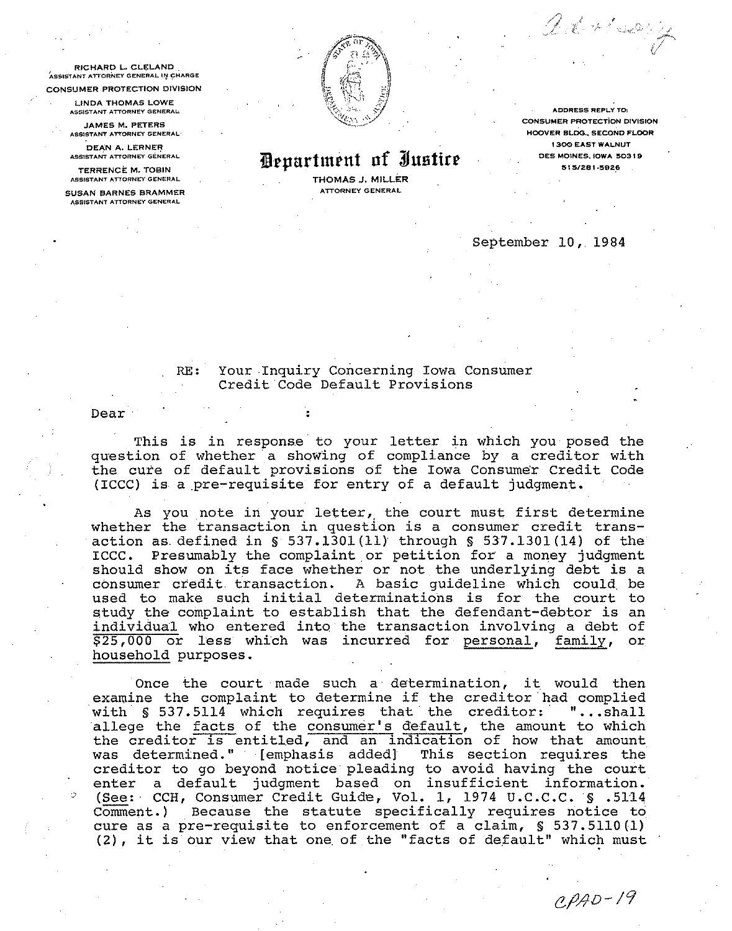**RICHARD L. CLELAND ~SS~S~ANT ATTORNEV GENERAL** I! **CWARGE CONSUMER PROTECTION DIVISION** 

**LINDA THOMAS LOWE** 

**A551STANT AITORNEI GENERAL JAMES M. PETERS** 

**Ati515TINT ATTORNEY GENERAL DEAN A. LERNER** 

**ASSISTANT ATTORNEY GENERAL** 

**TERRENCE M. TOBIN &551STANi ATTORNEY GENERAL** 

**SUSAN BARNES BRAMMER ASSISTANT ATTORNEY GENERAL** 



*Pepartment of Iustire* 

**THOMAS J. MILLER AnORNEY GENERAL** 

**ADDRESS REPLY TO:** ,,~~ .,. . **CONSUMER PROTECTION DIVISION HOOVER BLDG., SECOND FLOOR 1.900 EAST WALNUT DES MOINES. IOWA 5031** *8*  **5 1 SIZB 1.5826** 

Del 11 ser y

## September 10, 1984

## RE: Your Inquiry Concerning Iowa Consumer Credit Code Default Provisions

Dear

This is in response to your letter in which you posed the question of whether a showing of compliance by a creditor with the cure of default provisions of the Iowa Consumer Credit Code (ICCC) is a pre-requisite for entry of a default judgment.

As you note in your letter, the court must first determine whether the transaction in question is a consumer credit transaction as defined in *S* 537.1301(11) through § 537.1301(14) of the ICCC. Presumably the complaint or petition for a money judgment should show on its face whether or not the underlying debt is a consumer credit transaction. A basic guideline which could be used to make such initial determinations is for the court to study the complaint to establish that the defendant-debtor is an  $\frac{\text{individual}}{\text{S25,000}}$  who entered into the transaction involving a debt of  $\frac{\text{S25,000}}{\text{S25,000}}$  or less which was incurred for personal, family, or  $$25,000$  or less which was incurred for personal, family, household purposes.

Once the court made such a determination, it would then examine the complaint to determine if the creditor had complied with § 537.5114 which requires that the creditor: "...shall study the complaint to establish that the defendant-debtor is an<br>individual who entered into the transaction involving a debt of<br> $$25,000$  or less which was incurred for <u>personal</u>, <u>family</u>, or<br>household purposes.<br>Once th the creditor is entitled, and an indication of how that amount was determined. " [emphasis added] This section requires the creditor to go beyond notice pleading to avoid having the court enter a default judgment based on insufficient information. - (See: CCH, Consumer Credit Guide, Vol. 1, 1974 U.C.C.C. *S* .5114 Comment.) Because the statute specifically requires notice to cure as a pre-requisite to enforcement of a claim, *S* 537.5110(1) (2), it is our view that one of the "facts of default" which must

 $CPAD-19$